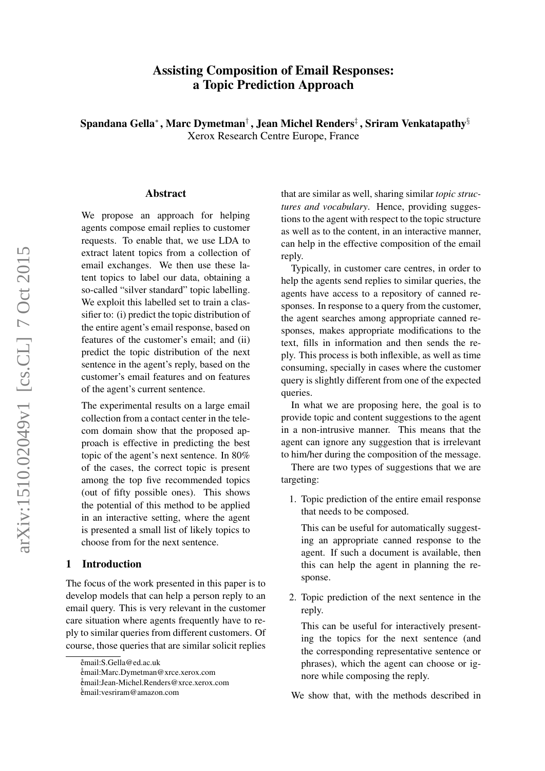# Assisting Composition of Email Responses: a Topic Prediction Approach

Spandana Gella\*, Marc Dymetman†, Jean Michel Renders‡, Sriram Venkatapathy $§$ Xerox Research Centre Europe, France

#### Abstract

We propose an approach for helping agents compose email replies to customer requests. To enable that, we use LDA to extract latent topics from a collection of email exchanges. We then use these latent topics to label our data, obtaining a so-called "silver standard" topic labelling. We exploit this labelled set to train a classifier to: (i) predict the topic distribution of the entire agent's email response, based on features of the customer's email; and (ii) predict the topic distribution of the next sentence in the agent's reply, based on the customer's email features and on features of the agent's current sentence.

The experimental results on a large email collection from a contact center in the telecom domain show that the proposed approach is effective in predicting the best topic of the agent's next sentence. In 80% of the cases, the correct topic is present among the top five recommended topics (out of fifty possible ones). This shows the potential of this method to be applied in an interactive setting, where the agent is presented a small list of likely topics to choose from for the next sentence.

#### 1 Introduction

The focus of the work presented in this paper is to develop models that can help a person reply to an email query. This is very relevant in the customer care situation where agents frequently have to reply to similar queries from different customers. Of course, those queries that are similar solicit replies

that are similar as well, sharing similar *topic structures and vocabulary*. Hence, providing suggestions to the agent with respect to the topic structure as well as to the content, in an interactive manner, can help in the effective composition of the email reply.

Typically, in customer care centres, in order to help the agents send replies to similar queries, the agents have access to a repository of canned responses. In response to a query from the customer, the agent searches among appropriate canned responses, makes appropriate modifications to the text, fills in information and then sends the reply. This process is both inflexible, as well as time consuming, specially in cases where the customer query is slightly different from one of the expected queries.

In what we are proposing here, the goal is to provide topic and content suggestions to the agent in a non-intrusive manner. This means that the agent can ignore any suggestion that is irrelevant to him/her during the composition of the message.

There are two types of suggestions that we are targeting:

1. Topic prediction of the entire email response that needs to be composed.

This can be useful for automatically suggesting an appropriate canned response to the agent. If such a document is available, then this can help the agent in planning the response.

2. Topic prediction of the next sentence in the reply.

This can be useful for interactively presenting the topics for the next sentence (and the corresponding representative sentence or phrases), which the agent can choose or ignore while composing the reply.

We show that, with the methods described in

<sup>∗</sup> email:S.Gella@ed.ac.uk

<sup>†</sup> email:Marc.Dymetman@xrce.xerox.com

<sup>‡</sup> email:Jean-Michel.Renders@xrce.xerox.com

<sup>§</sup> email:vesriram@amazon.com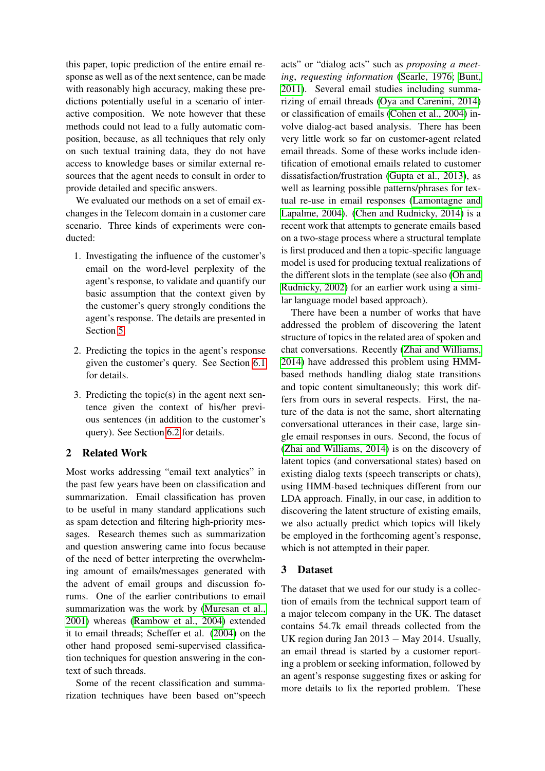this paper, topic prediction of the entire email response as well as of the next sentence, can be made with reasonably high accuracy, making these predictions potentially useful in a scenario of interactive composition. We note however that these methods could not lead to a fully automatic composition, because, as all techniques that rely only on such textual training data, they do not have access to knowledge bases or similar external resources that the agent needs to consult in order to provide detailed and specific answers.

We evaluated our methods on a set of email exchanges in the Telecom domain in a customer care scenario. Three kinds of experiments were conducted:

- 1. Investigating the influence of the customer's email on the word-level perplexity of the agent's response, to validate and quantify our basic assumption that the context given by the customer's query strongly conditions the agent's response. The details are presented in Section [5.](#page-3-0)
- 2. Predicting the topics in the agent's response given the customer's query. See Section [6.1](#page-3-1) for details.
- 3. Predicting the topic(s) in the agent next sentence given the context of his/her previous sentences (in addition to the customer's query). See Section [6.2](#page-4-0) for details.

## 2 Related Work

Most works addressing "email text analytics" in the past few years have been on classification and summarization. Email classification has proven to be useful in many standard applications such as spam detection and filtering high-priority messages. Research themes such as summarization and question answering came into focus because of the need of better interpreting the overwhelming amount of emails/messages generated with the advent of email groups and discussion forums. One of the earlier contributions to email summarization was the work by [\(Muresan et al.,](#page-8-0) [2001\)](#page-8-0) whereas [\(Rambow et al., 2004\)](#page-8-1) extended it to email threads; Scheffer et al. [\(2004\)](#page-8-2) on the other hand proposed semi-supervised classification techniques for question answering in the context of such threads.

Some of the recent classification and summarization techniques have been based on"speech

acts" or "dialog acts" such as *proposing a meeting*, *requesting information* [\(Searle, 1976;](#page-8-3) [Bunt,](#page-8-4) [2011\)](#page-8-4). Several email studies including summarizing of email threads [\(Oya and Carenini, 2014\)](#page-8-5) or classification of emails [\(Cohen et al., 2004\)](#page-8-6) involve dialog-act based analysis. There has been very little work so far on customer-agent related email threads. Some of these works include identification of emotional emails related to customer dissatisfaction/frustration [\(Gupta et al., 2013\)](#page-8-7), as well as learning possible patterns/phrases for textual re-use in email responses [\(Lamontagne and](#page-8-8) [Lapalme, 2004\)](#page-8-8). [\(Chen and Rudnicky, 2014\)](#page-8-9) is a recent work that attempts to generate emails based on a two-stage process where a structural template is first produced and then a topic-specific language model is used for producing textual realizations of the different slots in the template (see also [\(Oh and](#page-8-10) [Rudnicky, 2002\)](#page-8-10) for an earlier work using a similar language model based approach).

There have been a number of works that have addressed the problem of discovering the latent structure of topics in the related area of spoken and chat conversations. Recently [\(Zhai and Williams,](#page-8-11) [2014\)](#page-8-11) have addressed this problem using HMMbased methods handling dialog state transitions and topic content simultaneously; this work differs from ours in several respects. First, the nature of the data is not the same, short alternating conversational utterances in their case, large single email responses in ours. Second, the focus of [\(Zhai and Williams, 2014\)](#page-8-11) is on the discovery of latent topics (and conversational states) based on existing dialog texts (speech transcripts or chats), using HMM-based techniques different from our LDA approach. Finally, in our case, in addition to discovering the latent structure of existing emails, we also actually predict which topics will likely be employed in the forthcoming agent's response, which is not attempted in their paper.

## 3 Dataset

The dataset that we used for our study is a collection of emails from the technical support team of a major telecom company in the UK. The dataset contains 54.7k email threads collected from the UK region during Jan 2013 − May 2014. Usually, an email thread is started by a customer reporting a problem or seeking information, followed by an agent's response suggesting fixes or asking for more details to fix the reported problem. These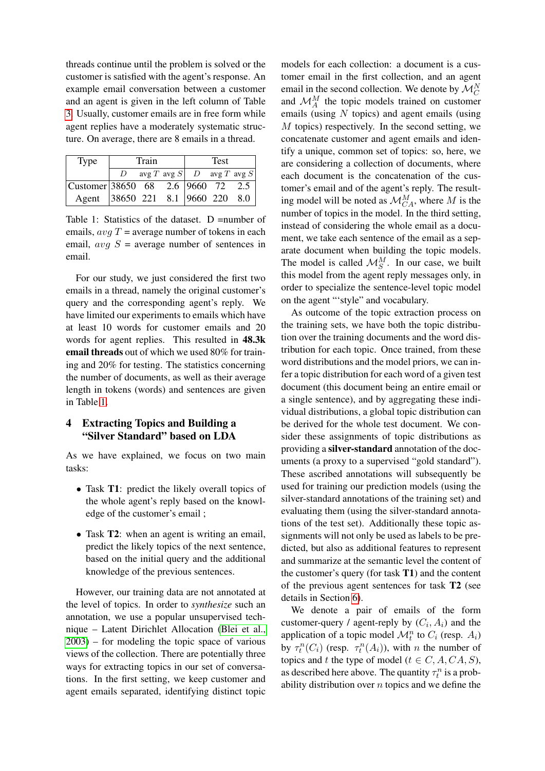threads continue until the problem is solved or the customer is satisfied with the agent's response. An example email conversation between a customer and an agent is given in the left column of Table [3.](#page-4-1) Usually, customer emails are in free form while agent replies have a moderately systematic structure. On average, there are 8 emails in a thread.

| Type                                  | Train |  |                                   | Test |  |  |
|---------------------------------------|-------|--|-----------------------------------|------|--|--|
|                                       |       |  | $\arg T \arg S$ D $\arg T \arg S$ |      |  |  |
| $ $ Customer 38650 68 2.6 9660 72 2.5 |       |  |                                   |      |  |  |
| Agent 38650 221 8.1 9660 220 8.0      |       |  |                                   |      |  |  |

<span id="page-2-0"></span>Table 1: Statistics of the dataset. D =number of emails,  $avgT = average$  number of tokens in each email,  $avg S$  = average number of sentences in email.

For our study, we just considered the first two emails in a thread, namely the original customer's query and the corresponding agent's reply. We have limited our experiments to emails which have at least 10 words for customer emails and 20 words for agent replies. This resulted in 48.3k email threads out of which we used 80% for training and 20% for testing. The statistics concerning the number of documents, as well as their average length in tokens (words) and sentences are given in Table [1.](#page-2-0)

## <span id="page-2-1"></span>4 Extracting Topics and Building a "Silver Standard" based on LDA

As we have explained, we focus on two main tasks:

- Task **T1**: predict the likely overall topics of the whole agent's reply based on the knowledge of the customer's email ;
- Task **T2**: when an agent is writing an email, predict the likely topics of the next sentence, based on the initial query and the additional knowledge of the previous sentences.

However, our training data are not annotated at the level of topics. In order to *synthesize* such an annotation, we use a popular unsupervised technique – Latent Dirichlet Allocation [\(Blei et al.,](#page-8-12) [2003\)](#page-8-12) – for modeling the topic space of various views of the collection. There are potentially three ways for extracting topics in our set of conversations. In the first setting, we keep customer and agent emails separated, identifying distinct topic

models for each collection: a document is a customer email in the first collection, and an agent email in the second collection. We denote by  $\mathcal{M}_C^N$ and  $\mathcal{M}_{A}^{M}$  the topic models trained on customer emails (using  $N$  topics) and agent emails (using M topics) respectively. In the second setting, we concatenate customer and agent emails and identify a unique, common set of topics: so, here, we are considering a collection of documents, where each document is the concatenation of the customer's email and of the agent's reply. The resulting model will be noted as  $\mathcal{M}_{CA}^M$ , where M is the number of topics in the model. In the third setting, instead of considering the whole email as a document, we take each sentence of the email as a separate document when building the topic models. The model is called  $\mathcal{M}_S^M$ . In our case, we built this model from the agent reply messages only, in order to specialize the sentence-level topic model on the agent "'style" and vocabulary.

As outcome of the topic extraction process on the training sets, we have both the topic distribution over the training documents and the word distribution for each topic. Once trained, from these word distributions and the model priors, we can infer a topic distribution for each word of a given test document (this document being an entire email or a single sentence), and by aggregating these individual distributions, a global topic distribution can be derived for the whole test document. We consider these assignments of topic distributions as providing a silver-standard annotation of the documents (a proxy to a supervised "gold standard"). These ascribed annotations will subsequently be used for training our prediction models (using the silver-standard annotations of the training set) and evaluating them (using the silver-standard annotations of the test set). Additionally these topic assignments will not only be used as labels to be predicted, but also as additional features to represent and summarize at the semantic level the content of the customer's query (for task  $T1$ ) and the content of the previous agent sentences for task T2 (see details in Section [6\)](#page-3-2).

We denote a pair of emails of the form customer-query / agent-reply by  $(C_i, A_i)$  and the application of a topic model  $\mathcal{M}_t^n$  to  $C_i$  (resp.  $A_i$ ) by  $\tau_t^n(C_i)$  (resp.  $\tau_t^n(A_i)$ ), with n the number of topics and t the type of model ( $t \in C, A, CA, S$ ), as described here above. The quantity  $\tau_t^n$  is a probability distribution over  $n$  topics and we define the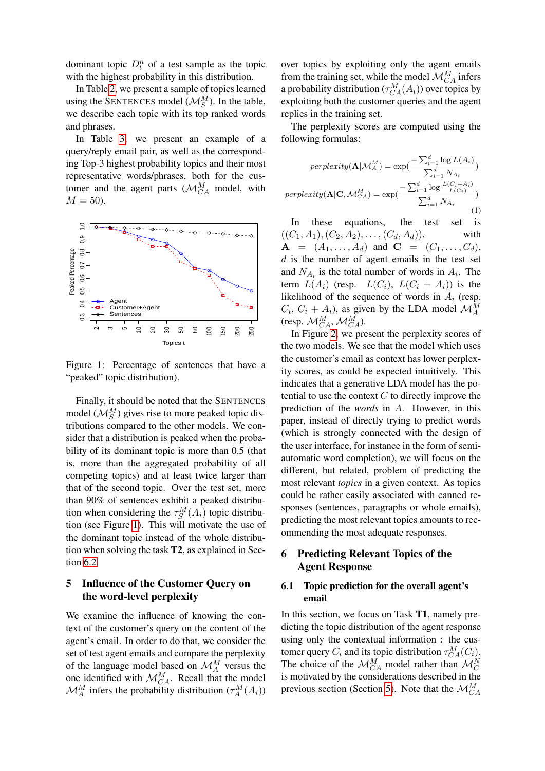dominant topic  $D_t^n$  of a test sample as the topic with the highest probability in this distribution.

In Table [2,](#page-4-2) we present a sample of topics learned using the SENTENCES model ( $\mathcal{M}_{S}^{M}$ ). In the table, we describe each topic with its top ranked words and phrases.

In Table [3,](#page-4-1) we present an example of a query/reply email pair, as well as the corresponding Top-3 highest probability topics and their most representative words/phrases, both for the customer and the agent parts ( $\mathcal{M}_{CA}^{M}$  model, with  $M = 50$ ).



<span id="page-3-3"></span>Figure 1: Percentage of sentences that have a "peaked" topic distribution).

Finally, it should be noted that the SENTENCES model  $(\mathcal{M}_S^M)$  gives rise to more peaked topic distributions compared to the other models. We consider that a distribution is peaked when the probability of its dominant topic is more than 0.5 (that is, more than the aggregated probability of all competing topics) and at least twice larger than that of the second topic. Over the test set, more than 90% of sentences exhibit a peaked distribution when considering the  $\tau_S^M(A_i)$  topic distribution (see Figure [1\)](#page-3-3). This will motivate the use of the dominant topic instead of the whole distribution when solving the task T2, as explained in Section [6.2.](#page-4-0)

## <span id="page-3-0"></span>5 Influence of the Customer Query on the word-level perplexity

We examine the influence of knowing the context of the customer's query on the content of the agent's email. In order to do that, we consider the set of test agent emails and compare the perplexity of the language model based on  $\mathcal{M}_{A}^{M}$  versus the one identified with  $\mathcal{M}_{CA}^M$ . Recall that the model  $\mathcal{M}_{A}^{M}$  infers the probability distribution  $(\tau_{A}^{M}(A_{i}))$ 

over topics by exploiting only the agent emails from the training set, while the model  $\mathcal{M}_{CA}^{M}$  infers a probability distribution  $(\tau_{CA}^M(A_i))$  over topics by exploiting both the customer queries and the agent replies in the training set.

The perplexity scores are computed using the following formulas:

$$
perplexity(\mathbf{A}|\mathcal{M}_A^M) = \exp\left(\frac{-\sum_{i=1}^d \log L(A_i)}{\sum_{i=1}^d N_{A_i}}\right)
$$

$$
perplexity(\mathbf{A}|\mathbf{C}, \mathcal{M}_{CA}^M) = \exp\left(\frac{-\sum_{i=1}^d \log \frac{L(C_i + A_i)}{L(C_i)}\right)}{\sum_{i=1}^d N_{A_i}}
$$
(1)

In these equations, the test set is  $((C_1, A_1), (C_2, A_2), \ldots, (C_d, A_d)),$  with  $A = (A_1, \ldots, A_d)$  and  $C = (C_1, \ldots, C_d)$ ,  $d$  is the number of agent emails in the test set and  $N_{A_i}$  is the total number of words in  $A_i$ . The term  $L(A_i)$  (resp.  $L(C_i)$ ,  $L(C_i + A_i)$ ) is the likelihood of the sequence of words in  $A_i$  (resp.  $C_i$ ,  $C_i + A_i$ , as given by the LDA model  $\mathcal{M}_{A}^{M}$ (resp.  $\mathcal{M}_{CA}^{M}$ ,  $\mathcal{M}_{CA}^{M}$ ).

In Figure [2,](#page-4-3) we present the perplexity scores of the two models. We see that the model which uses the customer's email as context has lower perplexity scores, as could be expected intuitively. This indicates that a generative LDA model has the potential to use the context  $C$  to directly improve the prediction of the *words* in A. However, in this paper, instead of directly trying to predict words (which is strongly connected with the design of the user interface, for instance in the form of semiautomatic word completion), we will focus on the different, but related, problem of predicting the most relevant *topics* in a given context. As topics could be rather easily associated with canned responses (sentences, paragraphs or whole emails), predicting the most relevant topics amounts to recommending the most adequate responses.

### <span id="page-3-2"></span>6 Predicting Relevant Topics of the Agent Response

### <span id="page-3-1"></span>6.1 Topic prediction for the overall agent's email

In this section, we focus on Task T1, namely predicting the topic distribution of the agent response using only the contextual information : the customer query  $C_i$  and its topic distribution  $\tau_{CA}^M(C_i)$ . The choice of the  $\mathcal{M}_{CA}^{M}$  model rather than  $\mathcal{M}_{C}^{N}$ is motivated by the considerations described in the previous section (Section [5\)](#page-3-0). Note that the  $\mathcal{M}_{CA}^{M}$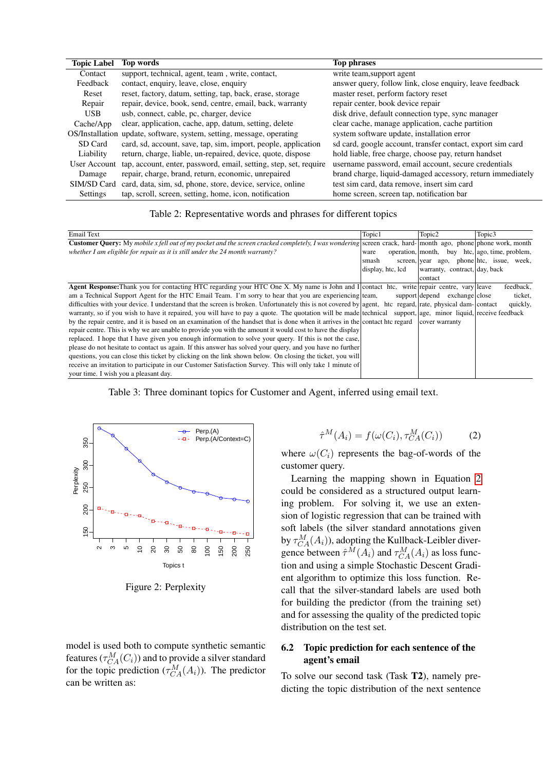| <b>Topic Label</b> | Top words                                                         | <b>Top phrases</b>                                         |
|--------------------|-------------------------------------------------------------------|------------------------------------------------------------|
| Contact            | support, technical, agent, team, write, contact,                  | write team, support agent                                  |
| Feedback           | contact, enquiry, leave, close, enquiry                           | answer query, follow link, close enquiry, leave feedback   |
| Reset              | reset, factory, datum, setting, tap, back, erase, storage         | master reset, perform factory reset                        |
| Repair             | repair, device, book, send, centre, email, back, warranty         | repair center, book device repair                          |
| <b>USB</b>         | usb, connect, cable, pc, charger, device                          | disk drive, default connection type, sync manager          |
| Cache/App          | clear, application, cache, app, datum, setting, delete            | clear cache, manage application, cache partition           |
| OS/Installation    | update, software, system, setting, message, operating             | system software update, installation error                 |
| SD Card            | card, sd, account, save, tap, sim, import, people, application    | sd card, google account, transfer contact, export sim card |
| Liability          | return, charge, liable, un-repaired, device, quote, dispose       | hold liable, free charge, choose pay, return handset       |
| User Account       | tap, account, enter, password, email, setting, step, set, require | username password, email account, secure credentials       |
| Damage             | repair, charge, brand, return, economic, unrepaired               | brand charge, liquid-damaged accessory, return immediately |
| SIM/SD Card        | card, data, sim, sd, phone, store, device, service, online        | test sim card, data remove, insert sim card                |
| Settings           | tap, scroll, screen, setting, home, icon, notification            | home screen, screen tap, notification bar                  |

## <span id="page-4-2"></span>Table 2: Representative words and phrases for different topics

| <b>Email Text</b>                                                                                                                                                  | Topic1            | Topic2                                       | Topic3                                         |
|--------------------------------------------------------------------------------------------------------------------------------------------------------------------|-------------------|----------------------------------------------|------------------------------------------------|
| <b>Customer Query:</b> My mobile x fell out of my pocket and the screen cracked completely, I was wondering screen crack, hard- month ago, phone phone work, month |                   |                                              |                                                |
| whether I am eligible for repair as it is still under the 24 month warranty?                                                                                       | ware              |                                              | operation, month, buy htc, ago, time, problem, |
|                                                                                                                                                                    | smash             |                                              | screen, year ago, phone htc, issue, week,      |
|                                                                                                                                                                    | display, htc, lcd | warranty, contract, day, back                |                                                |
|                                                                                                                                                                    |                   | contact                                      |                                                |
| <b>Agent Response:</b> Thank you for contacting HTC regarding your HTC One X. My name is John and I contact htc, write repair centre, vary leave                   |                   |                                              | feedback,                                      |
| am a Technical Support Agent for the HTC Email Team. I'm sorry to hear that you are experiencing team,                                                             |                   | support depend<br>exchange close             | ticket.                                        |
| difficulties with your device. I understand that the screen is broken. Unfortunately this is not covered by agent, htc regard, rate, physical dam- contact         |                   |                                              | quickly,                                       |
| warranty, so if you wish to have it repaired, you will have to pay a quote. The quotation will be made technical                                                   |                   | support, age, minor liquid, receive feedback |                                                |
| by the repair centre, and it is based on an examination of the handset that is done when it arrives in the contact htc regard                                      |                   | cover warranty                               |                                                |
| repair centre. This is why we are unable to provide you with the amount it would cost to have the display                                                          |                   |                                              |                                                |
| replaced. I hope that I have given you enough information to solve your query. If this is not the case,                                                            |                   |                                              |                                                |
| please do not hesitate to contact us again. If this answer has solved your query, and you have no further                                                          |                   |                                              |                                                |
| questions, you can close this ticket by clicking on the link shown below. On closing the ticket, you will                                                          |                   |                                              |                                                |
| receive an invitation to participate in our Customer Satisfaction Survey. This will only take 1 minute of                                                          |                   |                                              |                                                |
| your time. I wish you a pleasant day.                                                                                                                              |                   |                                              |                                                |

<span id="page-4-1"></span>Table 3: Three dominant topics for Customer and Agent, inferred using email text.



<span id="page-4-3"></span>Figure 2: Perplexity

model is used both to compute synthetic semantic features ( $\tau_{CA}^{M}(C_i)$ ) and to provide a silver standard for the topic prediction  $(\tau_{CA}^M(A_i))$ . The predictor can be written as:

<span id="page-4-4"></span>
$$
\hat{\tau}^M(A_i) = f(\omega(C_i), \tau_{CA}^M(C_i))
$$
 (2)

where  $\omega(C_i)$  represents the bag-of-words of the customer query.

Learning the mapping shown in Equation [2](#page-4-4) could be considered as a structured output learning problem. For solving it, we use an extension of logistic regression that can be trained with soft labels (the silver standard annotations given by  $\tau_{CA}^{M}(A_i)$ , adopting the Kullback-Leibler divergence between  $\hat{\tau}^M(A_i)$  and  $\tau^M_{CA}(A_i)$  as loss function and using a simple Stochastic Descent Gradient algorithm to optimize this loss function. Recall that the silver-standard labels are used both for building the predictor (from the training set) and for assessing the quality of the predicted topic distribution on the test set.

### <span id="page-4-0"></span>6.2 Topic prediction for each sentence of the agent's email

To solve our second task (Task T2), namely predicting the topic distribution of the next sentence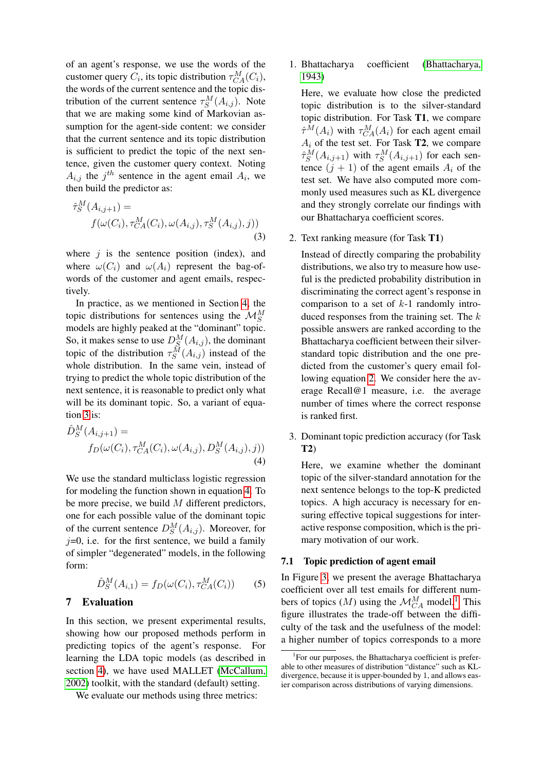of an agent's response, we use the words of the customer query  $C_i$ , its topic distribution  $\tau_{CA}^M(C_i)$ , the words of the current sentence and the topic distribution of the current sentence  $\tau_S^M(A_{i,j})$ . Note that we are making some kind of Markovian assumption for the agent-side content: we consider that the current sentence and its topic distribution is sufficient to predict the topic of the next sentence, given the customer query context. Noting  $A_{i,j}$  the  $j^{th}$  sentence in the agent email  $A_i$ , we then build the predictor as:

<span id="page-5-0"></span>
$$
\hat{\tau}_S^M(A_{i,j+1}) = f(\omega(C_i), \tau_{CA}^M(C_i), \omega(A_{i,j}), \tau_S^M(A_{i,j}), j))
$$
\n(3)

where  $i$  is the sentence position (index), and where  $\omega(C_i)$  and  $\omega(A_i)$  represent the bag-ofwords of the customer and agent emails, respectively.

In practice, as we mentioned in Section [4,](#page-2-1) the topic distributions for sentences using the  $\mathcal{M}_{S}^{M}$ models are highly peaked at the "dominant" topic. So, it makes sense to use  $D_S^M(A_{i,j})$ , the dominant topic of the distribution  $\tau_S^M(A_{i,j})$  instead of the whole distribution. In the same vein, instead of trying to predict the whole topic distribution of the next sentence, it is reasonable to predict only what will be its dominant topic. So, a variant of equation [3](#page-5-0) is:

<span id="page-5-1"></span>
$$
\hat{D}_{S}^{M}(A_{i,j+1}) = f_{D}(\omega(C_{i}), \tau_{CA}^{M}(C_{i}), \omega(A_{i,j}), D_{S}^{M}(A_{i,j}), j))
$$
\n(4)

We use the standard multiclass logistic regression for modeling the function shown in equation [4.](#page-5-1) To be more precise, we build  $M$  different predictors, one for each possible value of the dominant topic of the current sentence  $D_S^M(A_{i,j})$ . Moreover, for  $j=0$ , i.e. for the first sentence, we build a family of simpler "degenerated" models, in the following form:

$$
\hat{D}_S^M(A_{i,1}) = f_D(\omega(C_i), \tau_{CA}^M(C_i))
$$
 (5)

### 7 Evaluation

In this section, we present experimental results, showing how our proposed methods perform in predicting topics of the agent's response. For learning the LDA topic models (as described in section [4\)](#page-2-1), we have used MALLET [\(McCallum,](#page-8-13) [2002\)](#page-8-13) toolkit, with the standard (default) setting.

We evaluate our methods using three metrics:

1. Bhattacharya coefficient [\(Bhattacharya,](#page-8-14) [1943\)](#page-8-14)

Here, we evaluate how close the predicted topic distribution is to the silver-standard topic distribution. For Task T1, we compare  $\hat{\tau}^M(A_i)$  with  $\tau_{CA}^M(A_i)$  for each agent email  $A_i$  of the test set. For Task **T2**, we compare  $\hat{\tau}_S^M(A_{i,j+1})$  with  $\tau_S^M(A_{i,j+1})$  for each sentence  $(j + 1)$  of the agent emails  $A_i$  of the test set. We have also computed more commonly used measures such as KL divergence and they strongly correlate our findings with our Bhattacharya coefficient scores.

2. Text ranking measure (for Task T1)

Instead of directly comparing the probability distributions, we also try to measure how useful is the predicted probability distribution in discriminating the correct agent's response in comparison to a set of  $k-1$  randomly introduced responses from the training set. The  $k$ possible answers are ranked according to the Bhattacharya coefficient between their silverstandard topic distribution and the one predicted from the customer's query email following equation [2.](#page-4-4) We consider here the average Recall@1 measure, i.e. the average number of times where the correct response is ranked first.

3. Dominant topic prediction accuracy (for Task T2)

Here, we examine whether the dominant topic of the silver-standard annotation for the next sentence belongs to the top-K predicted topics. A high accuracy is necessary for ensuring effective topical suggestions for interactive response composition, which is the primary motivation of our work.

#### 7.1 Topic prediction of agent email

In Figure [3,](#page-6-0) we present the average Bhattacharya coefficient over all test emails for different numbers of topics  $(M)$  using the  $\mathcal{M}_{CA}^M$  model.<sup>[1](#page-5-2)</sup> This figure illustrates the trade-off between the difficulty of the task and the usefulness of the model: a higher number of topics corresponds to a more

<span id="page-5-2"></span><sup>&</sup>lt;sup>1</sup>For our purposes, the Bhattacharya coefficient is preferable to other measures of distribution "distance" such as KLdivergence, because it is upper-bounded by 1, and allows easier comparison across distributions of varying dimensions.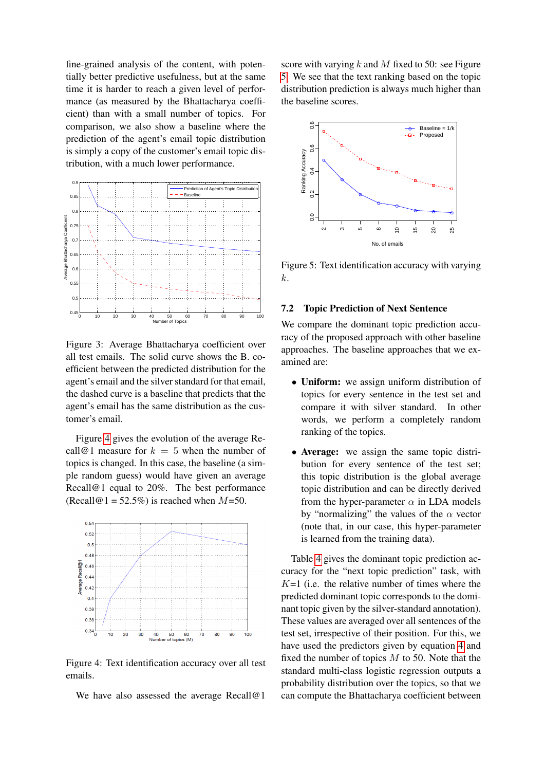fine-grained analysis of the content, with potentially better predictive usefulness, but at the same time it is harder to reach a given level of performance (as measured by the Bhattacharya coefficient) than with a small number of topics. For comparison, we also show a baseline where the prediction of the agent's email topic distribution is simply a copy of the customer's email topic distribution, with a much lower performance.



<span id="page-6-0"></span>Figure 3: Average Bhattacharya coefficient over all test emails. The solid curve shows the B. coefficient between the predicted distribution for the agent's email and the silver standard for that email, the dashed curve is a baseline that predicts that the agent's email has the same distribution as the customer's email.

Figure [4](#page-6-1) gives the evolution of the average Recall@1 measure for  $k = 5$  when the number of topics is changed. In this case, the baseline (a simple random guess) would have given an average Recall@1 equal to 20%. The best performance (Recall@1 =  $52.5\%$ ) is reached when  $M=50$ .



<span id="page-6-1"></span>Figure 4: Text identification accuracy over all test emails.

We have also assessed the average Recall@1

score with varying  $k$  and  $M$  fixed to 50: see Figure [5.](#page-6-2) We see that the text ranking based on the topic distribution prediction is always much higher than the baseline scores.



<span id="page-6-2"></span>Figure 5: Text identification accuracy with varying k.

#### 7.2 Topic Prediction of Next Sentence

We compare the dominant topic prediction accuracy of the proposed approach with other baseline approaches. The baseline approaches that we examined are:

- Uniform: we assign uniform distribution of topics for every sentence in the test set and compare it with silver standard. In other words, we perform a completely random ranking of the topics.
- Average: we assign the same topic distribution for every sentence of the test set; this topic distribution is the global average topic distribution and can be directly derived from the hyper-parameter  $\alpha$  in LDA models by "normalizing" the values of the  $\alpha$  vector (note that, in our case, this hyper-parameter is learned from the training data).

Table [4](#page-7-0) gives the dominant topic prediction accuracy for the "next topic prediction" task, with  $K=1$  (i.e. the relative number of times where the predicted dominant topic corresponds to the dominant topic given by the silver-standard annotation). These values are averaged over all sentences of the test set, irrespective of their position. For this, we have used the predictors given by equation [4](#page-5-1) and fixed the number of topics  $M$  to 50. Note that the standard multi-class logistic regression outputs a probability distribution over the topics, so that we can compute the Bhattacharya coefficient between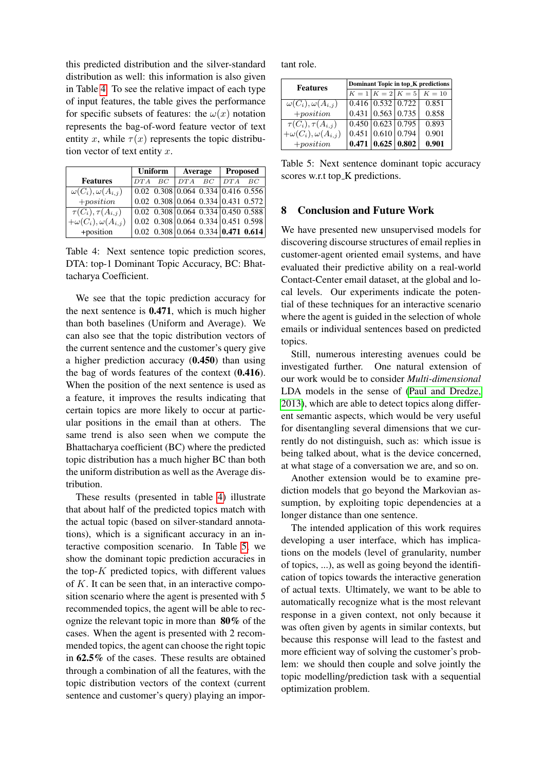this predicted distribution and the silver-standard distribution as well: this information is also given in Table [4.](#page-7-0) To see the relative impact of each type of input features, the table gives the performance for specific subsets of features: the  $\omega(x)$  notation represents the bag-of-word feature vector of text entity x, while  $\tau(x)$  represents the topic distribution vector of text entity  $x$ .

|                                 | Uniform |    | Average  |                                                                                                                  | <b>Proposed</b> |    |
|---------------------------------|---------|----|----------|------------------------------------------------------------------------------------------------------------------|-----------------|----|
| <b>Features</b>                 | DTA     | BC | $DTA$ BC |                                                                                                                  | DTA             | BC |
| $\omega(C_i), \omega(A_{i,j})$  |         |    |          | $\vert 0.02 \vert 0.308 \vert 0.064 \vert 0.334 \vert 0.416 \vert 0.556 \vert$                                   |                 |    |
| $+ position$                    |         |    |          | $0.02$ $0.308$ 0.064 0.334 0.431 0.572                                                                           |                 |    |
| $\tau(C_i), \tau(A_{i,j})$      |         |    |          | $\overline{0.02}$ $\overline{0.308}$ $\overline{0.064}$ $\overline{0.334}$ $\overline{0.450}$ $\overline{0.588}$ |                 |    |
| $+\omega(C_i), \omega(A_{i,j})$ |         |    |          | 0.02 0.308 0.064 0.334 0.451 0.598                                                                               |                 |    |
| +position                       |         |    |          | $0.02$ $0.308$ 0.064 0.334 <b>0.471 0.614</b>                                                                    |                 |    |

<span id="page-7-0"></span>Table 4: Next sentence topic prediction scores, DTA: top-1 Dominant Topic Accuracy, BC: Bhattacharya Coefficient.

We see that the topic prediction accuracy for the next sentence is 0.471, which is much higher than both baselines (Uniform and Average). We can also see that the topic distribution vectors of the current sentence and the customer's query give a higher prediction accuracy (0.450) than using the bag of words features of the context (0.416). When the position of the next sentence is used as a feature, it improves the results indicating that certain topics are more likely to occur at particular positions in the email than at others. The same trend is also seen when we compute the Bhattacharya coefficient (BC) where the predicted topic distribution has a much higher BC than both the uniform distribution as well as the Average distribution.

These results (presented in table [4\)](#page-7-0) illustrate that about half of the predicted topics match with the actual topic (based on silver-standard annotations), which is a significant accuracy in an interactive composition scenario. In Table [5,](#page-7-1) we show the dominant topic prediction accuracies in the top- $K$  predicted topics, with different values of  $K$ . It can be seen that, in an interactive composition scenario where the agent is presented with 5 recommended topics, the agent will be able to recognize the relevant topic in more than 80% of the cases. When the agent is presented with 2 recommended topics, the agent can choose the right topic in 62.5% of the cases. These results are obtained through a combination of all the features, with the topic distribution vectors of the context (current sentence and customer's query) playing an important role.

| <b>Features</b>                 | Dominant Topic in top_K predictions |                               |                                    |                                  |  |  |
|---------------------------------|-------------------------------------|-------------------------------|------------------------------------|----------------------------------|--|--|
|                                 |                                     |                               |                                    | $K = 1   K = 2   K = 5   K = 10$ |  |  |
| $\omega(C_i), \omega(A_{i,j})$  |                                     | $0.416$   $0.532$   $0.722$   |                                    | 0.851                            |  |  |
| $+ position$                    |                                     |                               | $0.431 \mid 0.563 \mid 0.735 \mid$ | 0.858                            |  |  |
| $\tau(C_i), \tau(A_{i,j})$      |                                     | $0.450 \mid 0.623 \mid 0.795$ |                                    | 0.893                            |  |  |
| $+\omega(C_i), \omega(A_{i,j})$ |                                     | 0.451   0.610   0.794         |                                    | 0.901                            |  |  |
| $+position$                     |                                     | 0.471   0.625   0.802         |                                    | 0.901                            |  |  |

<span id="page-7-1"></span>Table 5: Next sentence dominant topic accuracy scores w.r.t top\_K predictions.

#### 8 Conclusion and Future Work

We have presented new unsupervised models for discovering discourse structures of email replies in customer-agent oriented email systems, and have evaluated their predictive ability on a real-world Contact-Center email dataset, at the global and local levels. Our experiments indicate the potential of these techniques for an interactive scenario where the agent is guided in the selection of whole emails or individual sentences based on predicted topics.

Still, numerous interesting avenues could be investigated further. One natural extension of our work would be to consider *Multi-dimensional* LDA models in the sense of [\(Paul and Dredze,](#page-8-15) [2013\)](#page-8-15), which are able to detect topics along different semantic aspects, which would be very useful for disentangling several dimensions that we currently do not distinguish, such as: which issue is being talked about, what is the device concerned, at what stage of a conversation we are, and so on.

Another extension would be to examine prediction models that go beyond the Markovian assumption, by exploiting topic dependencies at a longer distance than one sentence.

The intended application of this work requires developing a user interface, which has implications on the models (level of granularity, number of topics, ...), as well as going beyond the identification of topics towards the interactive generation of actual texts. Ultimately, we want to be able to automatically recognize what is the most relevant response in a given context, not only because it was often given by agents in similar contexts, but because this response will lead to the fastest and more efficient way of solving the customer's problem: we should then couple and solve jointly the topic modelling/prediction task with a sequential optimization problem.